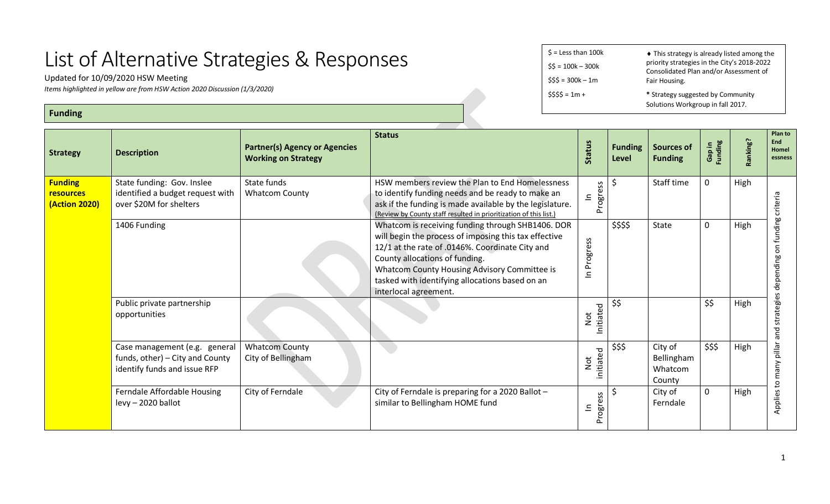## List of Alternative Strategies & Responses

Updated for 10/09/2020 HSW Meeting

*Items highlighted in yellow are from HSW Action 2020 Discussion (1/3/2020)*

**Funding**

 $$ =$  Less than 100 $k$  $$5 = 100k - 300k$  $$55 = 300k - 1m$  $$555 = 1m +$ ♦ This strategy is already listed among the priority strategies in the City's 2018-2022 Consolidated Plan and/or Assessment of Fair Housing. **\*** Strategy suggested by Community Solutions Workgroup in fall 2017.

| <b>Strategy</b>                                            | <b>Description</b>                                                                               | <b>Partner(s) Agency or Agencies</b><br><b>Working on Strategy</b> | <b>Status</b>                                                                                                                                                                                                                                                                                                               | <b>Status</b>                                             | <b>Funding</b><br>Level | <b>Sources of</b><br><b>Funding</b>        | <b>Funding</b><br>Gap in | Ranking? | Plan to<br>End<br>Homel<br>essness     |
|------------------------------------------------------------|--------------------------------------------------------------------------------------------------|--------------------------------------------------------------------|-----------------------------------------------------------------------------------------------------------------------------------------------------------------------------------------------------------------------------------------------------------------------------------------------------------------------------|-----------------------------------------------------------|-------------------------|--------------------------------------------|--------------------------|----------|----------------------------------------|
| <b>Funding</b><br><b>resources</b><br><b>(Action 2020)</b> | State funding: Gov. Inslee<br>identified a budget request with<br>over \$20M for shelters        | State funds<br><b>Whatcom County</b>                               | HSW members review the Plan to End Homelessness<br>to identify funding needs and be ready to make an<br>ask if the funding is made available by the legislature.<br>(Review by County staff resulted in prioritization of this list.)                                                                                       | Progress<br>$\mathbf{\underline{\underline{\mathsf{c}}}}$ | \$                      | Staff time                                 | $\mathbf 0$              | High     | criteria                               |
|                                                            | 1406 Funding                                                                                     |                                                                    | Whatcom is receiving funding through SHB1406. DOR<br>will begin the process of imposing this tax effective<br>12/1 at the rate of .0146%. Coordinate City and<br>County allocations of funding.<br>Whatcom County Housing Advisory Committee is<br>tasked with identifying allocations based on an<br>interlocal agreement. | In Progress                                               | \$\$\$\$                | State                                      | $\mathbf 0$              | High     | funding<br>$\overline{5}$<br>depending |
|                                                            | Public private partnership<br>opportunities                                                      |                                                                    |                                                                                                                                                                                                                                                                                                                             | Initiated<br>Not                                          | \$\$                    |                                            | \$\$                     | High     | strategies<br>pue                      |
|                                                            | Case management (e.g. general<br>funds, other) - City and County<br>identify funds and issue RFP | <b>Whatcom County</b><br>City of Bellingham                        |                                                                                                                                                                                                                                                                                                                             | initiated<br>Not                                          | \$\$\$                  | City of<br>Bellingham<br>Whatcom<br>County | \$\$\$                   | High     | pillar<br>many                         |
|                                                            | Ferndale Affordable Housing<br>levy - 2020 ballot                                                | City of Ferndale                                                   | City of Ferndale is preparing for a 2020 Ballot -<br>similar to Bellingham HOME fund                                                                                                                                                                                                                                        | Progress<br>$\subseteq$                                   | \$                      | City of<br>Ferndale                        | $\mathbf 0$              | High     | Applies to                             |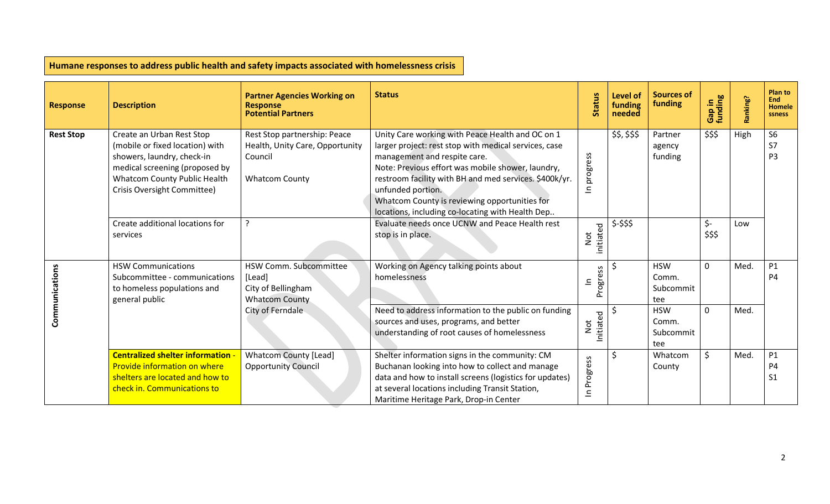| <b>Response</b>  | <b>Description</b>                                                                                                                                                                          | <b>Partner Agencies Working on</b><br><b>Response</b><br><b>Potential Partners</b>                  | <b>Status</b>                                                                                                                                                                                                                                                                                                                                                                      | <b>Status</b>            | <b>Level of</b><br>funding<br>needed | <b>Sources of</b><br>funding            | Gap in<br>funding   | Ranking? | Plan to<br><b>End</b><br><b>Homele</b><br><b>ssness</b> |
|------------------|---------------------------------------------------------------------------------------------------------------------------------------------------------------------------------------------|-----------------------------------------------------------------------------------------------------|------------------------------------------------------------------------------------------------------------------------------------------------------------------------------------------------------------------------------------------------------------------------------------------------------------------------------------------------------------------------------------|--------------------------|--------------------------------------|-----------------------------------------|---------------------|----------|---------------------------------------------------------|
| <b>Rest Stop</b> | Create an Urban Rest Stop<br>(mobile or fixed location) with<br>showers, laundry, check-in<br>medical screening (proposed by<br>Whatcom County Public Health<br>Crisis Oversight Committee) | Rest Stop partnership: Peace<br>Health, Unity Care, Opportunity<br>Council<br><b>Whatcom County</b> | Unity Care working with Peace Health and OC on 1<br>larger project: rest stop with medical services, case<br>management and respite care.<br>Note: Previous effort was mobile shower, laundry,<br>restroom facility with BH and med services. \$400k/yr.<br>unfunded portion.<br>Whatcom County is reviewing opportunities for<br>locations, including co-locating with Health Dep | progress<br>$\mathbf{a}$ | \$\$, \$\$\$                         | Partner<br>agency<br>funding            | \$\$\$              | High     | S <sub>6</sub><br>S7<br>P <sub>3</sub>                  |
|                  | Create additional locations for<br>services                                                                                                                                                 | ?                                                                                                   | Evaluate needs once UCNW and Peace Health rest<br>stop is in place.                                                                                                                                                                                                                                                                                                                | initiated<br>Not         | \$-\$\$\$                            |                                         | $\zeta$ -<br>\$\$\$ | Low      |                                                         |
| Communications   | <b>HSW Communications</b><br>Subcommittee - communications<br>to homeless populations and<br>general public                                                                                 | HSW Comm. Subcommittee<br>[Lead]<br>City of Bellingham<br><b>Whatcom County</b>                     | Working on Agency talking points about<br>homelessness                                                                                                                                                                                                                                                                                                                             | Progress<br>드            |                                      | <b>HSW</b><br>Comm.<br>Subcommit<br>tee | $\mathbf 0$         | Med.     | P1<br><b>P4</b>                                         |
|                  |                                                                                                                                                                                             | City of Ferndale                                                                                    | Need to address information to the public on funding<br>sources and uses, programs, and better<br>understanding of root causes of homelessness                                                                                                                                                                                                                                     | Initiated<br>Not         |                                      | <b>HSW</b><br>Comm.<br>Subcommit<br>tee | $\mathbf 0$         | Med.     |                                                         |
|                  | <b>Centralized shelter information -</b><br>Provide information on where<br>shelters are located and how to<br>check in. Communications to                                                  | <b>Whatcom County [Lead]</b><br><b>Opportunity Council</b>                                          | Shelter information signs in the community: CM<br>Buchanan looking into how to collect and manage<br>data and how to install screens (logistics for updates)<br>at several locations including Transit Station,<br>Maritime Heritage Park, Drop-in Center                                                                                                                          | In Progress              |                                      | Whatcom<br>County                       | \$                  | Med.     | P1<br><b>P4</b><br>S <sub>1</sub>                       |

**Humane responses to address public health and safety impacts associated with homelessness crisis**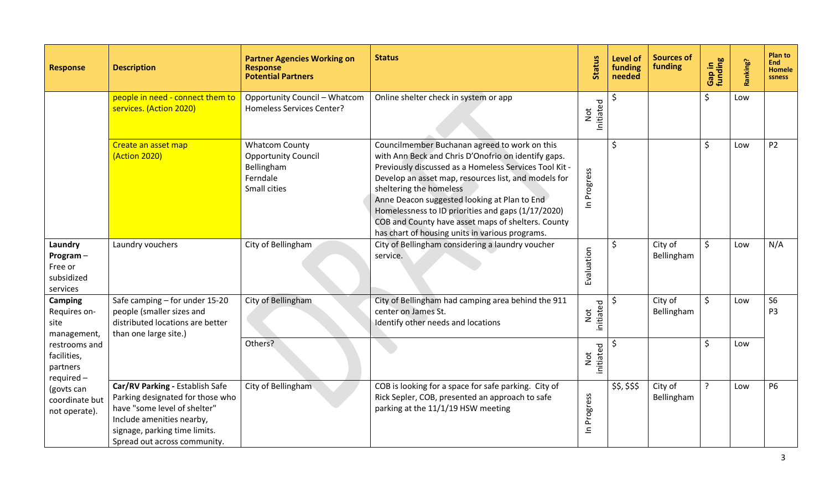| <b>Response</b>                                          | <b>Description</b>                                                                                                                                                                                | <b>Partner Agencies Working on</b><br><b>Response</b><br><b>Potential Partners</b>            | <b>Status</b>                                                                                                                                                                                                                                                                                                                                                                                                                                                    | <b>Status</b>               | <b>Level of</b><br>funding<br>needed | <b>Sources of</b><br>funding | Gap in<br>funding  | Ranking? | Plan to<br>End l<br><b>Homele</b><br>ssness |
|----------------------------------------------------------|---------------------------------------------------------------------------------------------------------------------------------------------------------------------------------------------------|-----------------------------------------------------------------------------------------------|------------------------------------------------------------------------------------------------------------------------------------------------------------------------------------------------------------------------------------------------------------------------------------------------------------------------------------------------------------------------------------------------------------------------------------------------------------------|-----------------------------|--------------------------------------|------------------------------|--------------------|----------|---------------------------------------------|
|                                                          | people in need - connect them to<br>services. (Action 2020)                                                                                                                                       | <b>Opportunity Council - Whatcom</b><br>Homeless Services Center?                             | Online shelter check in system or app                                                                                                                                                                                                                                                                                                                                                                                                                            | Initiated<br>${\hbox{Not}}$ |                                      |                              | \$                 | Low      |                                             |
|                                                          | Create an asset map<br>(Action 2020)                                                                                                                                                              | <b>Whatcom County</b><br><b>Opportunity Council</b><br>Bellingham<br>Ferndale<br>Small cities | Councilmember Buchanan agreed to work on this<br>with Ann Beck and Chris D'Onofrio on identify gaps.<br>Previously discussed as a Homeless Services Tool Kit -<br>Develop an asset map, resources list, and models for<br>sheltering the homeless<br>Anne Deacon suggested looking at Plan to End<br>Homelessness to ID priorities and gaps (1/17/2020)<br>COB and County have asset maps of shelters. County<br>has chart of housing units in various programs. | In Progress                 | $\zeta$                              |                              | \$                 | Low      | P <sub>2</sub>                              |
| Laundry<br>Program-<br>Free or<br>subsidized<br>services | Laundry vouchers                                                                                                                                                                                  | City of Bellingham                                                                            | City of Bellingham considering a laundry voucher<br>service.                                                                                                                                                                                                                                                                                                                                                                                                     | Evaluation                  | \$                                   | City of<br>Bellingham        | $\mathsf{\hat{S}}$ | Low      | N/A                                         |
| <b>Camping</b><br>Requires on-<br>site<br>management,    | Safe camping - for under 15-20<br>people (smaller sizes and<br>distributed locations are better<br>than one large site.)                                                                          | City of Bellingham                                                                            | City of Bellingham had camping area behind the 911<br>center on James St.<br>Identify other needs and locations                                                                                                                                                                                                                                                                                                                                                  | initiated<br>Not            |                                      | City of<br>Bellingham        | $\mathsf{\hat{S}}$ | Low      | <b>S6</b><br>P <sub>3</sub>                 |
| restrooms and<br>facilities,<br>partners<br>required-    |                                                                                                                                                                                                   | Others?                                                                                       |                                                                                                                                                                                                                                                                                                                                                                                                                                                                  | initiated<br>Not            | Ś.                                   |                              | \$                 | Low      |                                             |
| (govts can<br>coordinate but<br>not operate).            | Car/RV Parking - Establish Safe<br>Parking designated for those who<br>have "some level of shelter"<br>Include amenities nearby,<br>signage, parking time limits.<br>Spread out across community. | City of Bellingham                                                                            | COB is looking for a space for safe parking. City of<br>Rick Sepler, COB, presented an approach to safe<br>parking at the 11/1/19 HSW meeting                                                                                                                                                                                                                                                                                                                    | In Progress                 | \$\$, \$\$\$                         | City of<br>Bellingham        | $\overline{?}$     | Low      | <b>P6</b>                                   |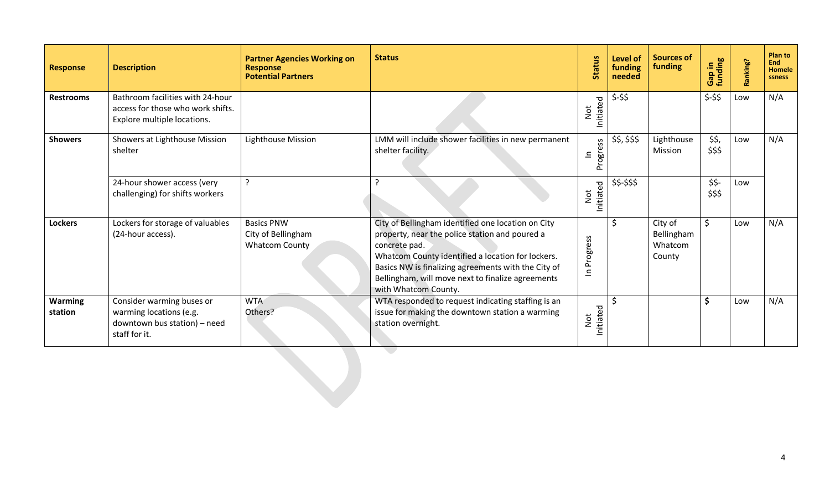| <b>Response</b>           | <b>Description</b>                                                                                    | <b>Partner Agencies Working on</b><br><b>Response</b><br><b>Potential Partners</b> | <b>Status</b>                                                                                                                                                                                                                                                                                                  | <b>Status</b>              | Level of<br>funding<br>needed | <b>Sources of</b><br>funding               | Gap in<br>funding | Ranking? | <b>Plan to</b><br>End<br><b>Homele</b><br>ssness |
|---------------------------|-------------------------------------------------------------------------------------------------------|------------------------------------------------------------------------------------|----------------------------------------------------------------------------------------------------------------------------------------------------------------------------------------------------------------------------------------------------------------------------------------------------------------|----------------------------|-------------------------------|--------------------------------------------|-------------------|----------|--------------------------------------------------|
| <b>Restrooms</b>          | Bathroom facilities with 24-hour<br>access for those who work shifts.<br>Explore multiple locations.  |                                                                                    |                                                                                                                                                                                                                                                                                                                | Initiated<br>Not           | $$-$ \$\$                     |                                            | $$-$ \$\$         | Low      | N/A                                              |
| <b>Showers</b>            | Showers at Lighthouse Mission<br>shelter                                                              | Lighthouse Mission                                                                 | LMM will include shower facilities in new permanent<br>shelter facility.                                                                                                                                                                                                                                       | ess<br>Progre<br>$\equiv$  | \$\$, \$\$\$                  | Lighthouse<br>Mission                      | \$\$,<br>\$\$\$   | Low      | N/A                                              |
|                           | 24-hour shower access (very<br>challenging) for shifts workers                                        |                                                                                    |                                                                                                                                                                                                                                                                                                                | Initiated<br>Not           | \$\$-\$\$\$                   |                                            | $$5 -$<br>\$\$\$  | Low      |                                                  |
| <b>Lockers</b>            | Lockers for storage of valuables<br>(24-hour access).                                                 | <b>Basics PNW</b><br>City of Bellingham<br><b>Whatcom County</b>                   | City of Bellingham identified one location on City<br>property, near the police station and poured a<br>concrete pad.<br>Whatcom County identified a location for lockers.<br>Basics NW is finalizing agreements with the City of<br>Bellingham, will move next to finalize agreements<br>with Whatcom County. | In Progress                | Ś.                            | City of<br>Bellingham<br>Whatcom<br>County | $\zeta$           | Low      | N/A                                              |
| <b>Warming</b><br>station | Consider warming buses or<br>warming locations (e.g.<br>downtown bus station) - need<br>staff for it. | <b>WTA</b><br>Others?                                                              | WTA responded to request indicating staffing is an<br>issue for making the downtown station a warming<br>station overnight.                                                                                                                                                                                    | Initiated<br>$\frac{1}{2}$ |                               |                                            | \$                | Low      | N/A                                              |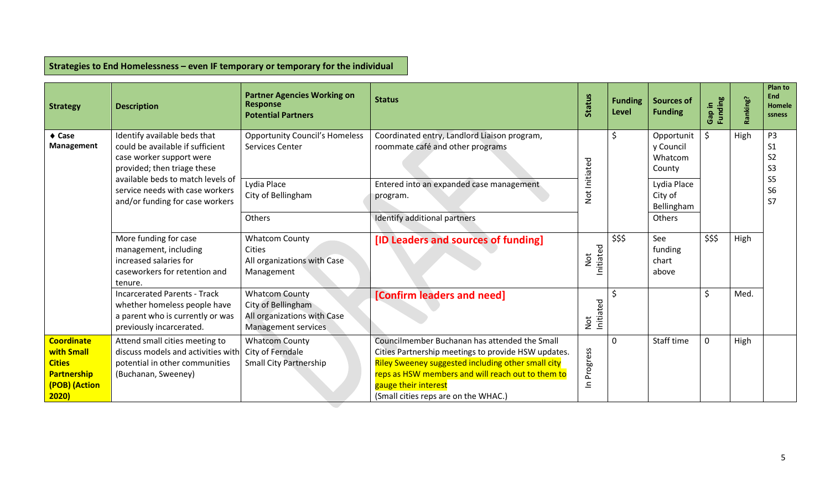| <b>Strategy</b>                                                                                 | <b>Description</b>                                                                                                                  | <b>Partner Agencies Working on</b><br><b>Response</b><br><b>Potential Partners</b>                       | <b>Status</b>                                                                                                                                                                                                                                                                   | <b>Status</b>              | <b>Funding</b><br>Level | <b>Sources of</b><br><b>Funding</b>            | Gap in<br>Funding | Ranking? | <b>Plan to</b><br>End<br>Homele<br>ssness                            |
|-------------------------------------------------------------------------------------------------|-------------------------------------------------------------------------------------------------------------------------------------|----------------------------------------------------------------------------------------------------------|---------------------------------------------------------------------------------------------------------------------------------------------------------------------------------------------------------------------------------------------------------------------------------|----------------------------|-------------------------|------------------------------------------------|-------------------|----------|----------------------------------------------------------------------|
| $\triangle$ Case<br><b>Management</b>                                                           | Identify available beds that<br>could be available if sufficient<br>case worker support were<br>provided; then triage these         | <b>Opportunity Council's Homeless</b><br>Services Center                                                 | Coordinated entry, Landlord Liaison program,<br>roommate café and other programs                                                                                                                                                                                                |                            | \$                      | Opportunit<br>y Council<br>Whatcom<br>County   | \$                | High     | P <sub>3</sub><br>S <sub>1</sub><br>S <sub>2</sub><br>S <sub>3</sub> |
|                                                                                                 | available beds to match levels of<br>service needs with case workers<br>and/or funding for case workers                             | Lydia Place<br>City of Bellingham<br>Others                                                              | Entered into an expanded case management<br>program.<br>Identify additional partners                                                                                                                                                                                            | Not Initiated              |                         | Lydia Place<br>City of<br>Bellingham<br>Others |                   |          | S <sub>5</sub><br><b>S6</b><br><b>S7</b>                             |
|                                                                                                 | More funding for case<br>management, including<br>increased salaries for<br>caseworkers for retention and<br>tenure.                | <b>Whatcom County</b><br><b>Cities</b><br>All organizations with Case<br>Management                      | [ID Leaders and sources of funding]                                                                                                                                                                                                                                             | Initiated<br>$\frac{1}{2}$ | \$\$\$                  | See<br>funding<br>chart<br>above               | \$\$\$            | High     |                                                                      |
|                                                                                                 | <b>Incarcerated Parents - Track</b><br>whether homeless people have<br>a parent who is currently or was<br>previously incarcerated. | <b>Whatcom County</b><br>City of Bellingham<br>All organizations with Case<br><b>Management services</b> | [Confirm leaders and need]                                                                                                                                                                                                                                                      | Initiated<br>Not           |                         |                                                | \$                | Med.     |                                                                      |
| <b>Coordinate</b><br>with Small<br><b>Cities</b><br><b>Partnership</b><br>(POB) (Action<br>2020 | Attend small cities meeting to<br>discuss models and activities with<br>potential in other communities<br>(Buchanan, Sweeney)       | <b>Whatcom County</b><br>City of Ferndale<br><b>Small City Partnership</b>                               | Councilmember Buchanan has attended the Small<br>Cities Partnership meetings to provide HSW updates.<br>Riley Sweeney suggested including other small city<br>reps as HSW members and will reach out to them to<br>gauge their interest<br>(Small cities reps are on the WHAC.) | Progress<br>$\equiv$       | $\Omega$                | Staff time                                     | $\mathbf 0$       | High     |                                                                      |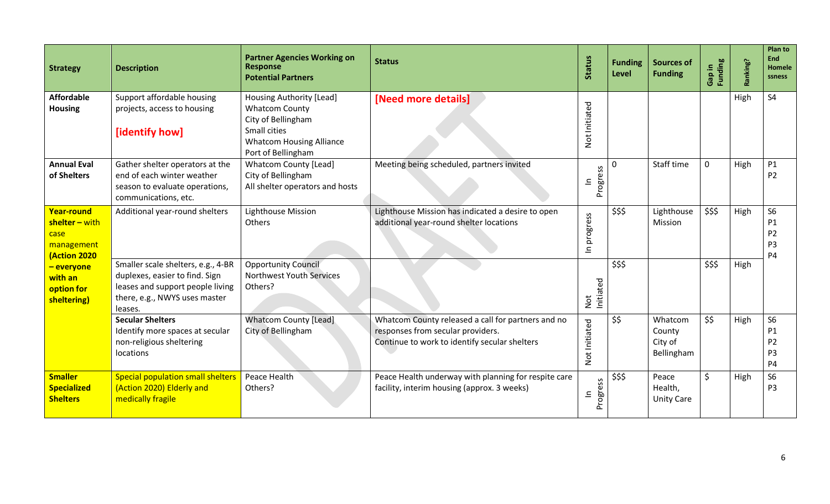| <b>Strategy</b>                                                           | <b>Description</b>                                                                                                                                   | <b>Partner Agencies Working on</b><br><b>Response</b><br><b>Potential Partners</b>                                                               | <b>Status</b>                                                                                                                            | <b>Status</b>                | <b>Funding</b><br>Level | <b>Sources of</b><br><b>Funding</b>        | Gap in<br>Funding | Ranking? | <b>Plan to</b><br><b>End</b><br>Homele<br>ssness                      |
|---------------------------------------------------------------------------|------------------------------------------------------------------------------------------------------------------------------------------------------|--------------------------------------------------------------------------------------------------------------------------------------------------|------------------------------------------------------------------------------------------------------------------------------------------|------------------------------|-------------------------|--------------------------------------------|-------------------|----------|-----------------------------------------------------------------------|
| <b>Affordable</b><br><b>Housing</b>                                       | Support affordable housing<br>projects, access to housing<br>[identify how]                                                                          | Housing Authority [Lead]<br><b>Whatcom County</b><br>City of Bellingham<br>Small cities<br><b>Whatcom Housing Alliance</b><br>Port of Bellingham | [Need more details]                                                                                                                      | Not Initiated                |                         |                                            |                   | High     | S <sub>4</sub>                                                        |
| <b>Annual Eval</b><br>of Shelters                                         | Gather shelter operators at the<br>end of each winter weather<br>season to evaluate operations,<br>communications, etc.                              | <b>Whatcom County [Lead]</b><br>City of Bellingham<br>All shelter operators and hosts                                                            | Meeting being scheduled, partners invited                                                                                                | ess<br>Progre<br>$\equiv$    | 0                       | Staff time                                 | 0                 | High     | P1<br><b>P2</b>                                                       |
| <b>Year-round</b><br>shelter - with<br>case<br>management<br>(Action 2020 | Additional year-round shelters                                                                                                                       | Lighthouse Mission<br>Others                                                                                                                     | Lighthouse Mission has indicated a desire to open<br>additional year-round shelter locations                                             | progress<br>$\subseteq$      | \$\$\$                  | Lighthouse<br>Mission                      | \$\$\$            | High     | <b>S6</b><br>P1<br>P <sub>2</sub><br>P <sub>3</sub><br><b>P4</b>      |
| - everyone<br>with an<br>option for<br>sheltering)                        | Smaller scale shelters, e.g., 4-BR<br>duplexes, easier to find. Sign<br>leases and support people living<br>there, e.g., NWYS uses master<br>leases. | <b>Opportunity Council</b><br><b>Northwest Youth Services</b><br>Others?                                                                         |                                                                                                                                          | Not<br>Initiated             | \$\$\$                  |                                            | \$\$\$            | High     |                                                                       |
|                                                                           | <b>Secular Shelters</b><br>Identify more spaces at secular<br>non-religious sheltering<br>locations                                                  | <b>Whatcom County [Lead]</b><br>City of Bellingham                                                                                               | Whatcom County released a call for partners and no<br>responses from secular providers.<br>Continue to work to identify secular shelters | Not Initiated                | \$\$                    | Whatcom<br>County<br>City of<br>Bellingham | \$\$              | High     | S <sub>6</sub><br>P1<br>P <sub>2</sub><br>P <sub>3</sub><br><b>P4</b> |
| <b>Smaller</b><br><b>Specialized</b><br><b>Shelters</b>                   | <b>Special population small shelters</b><br>(Action 2020) Elderly and<br>medically fragile                                                           | Peace Health<br>Others?                                                                                                                          | Peace Health underway with planning for respite care<br>facility, interim housing (approx. 3 weeks)                                      | SS<br>ω<br>$\equiv$<br>Progr | \$\$\$                  | Peace<br>Health,<br><b>Unity Care</b>      | \$                | High     | S <sub>6</sub><br>P <sub>3</sub>                                      |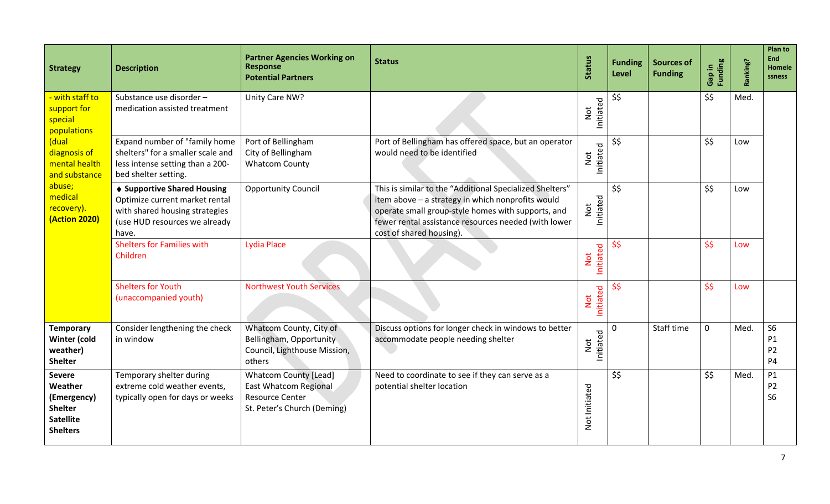| <b>Strategy</b>                                                                                  | <b>Description</b>                                                                                                                        | <b>Partner Agencies Working on</b><br><b>Response</b><br><b>Potential Partners</b>                                    | <b>Status</b>                                                                                                                                                                                                                                           | <b>Status</b>              | <b>Funding</b><br><b>Level</b> | <b>Sources of</b><br><b>Funding</b> | Gap in<br>Funding | Ranking? | <b>Plan to</b><br><b>End</b><br><b>Homele</b><br>ssness |
|--------------------------------------------------------------------------------------------------|-------------------------------------------------------------------------------------------------------------------------------------------|-----------------------------------------------------------------------------------------------------------------------|---------------------------------------------------------------------------------------------------------------------------------------------------------------------------------------------------------------------------------------------------------|----------------------------|--------------------------------|-------------------------------------|-------------------|----------|---------------------------------------------------------|
| - with staff to<br>support for<br>special<br>populations                                         | Substance use disorder-<br>medication assisted treatment                                                                                  | Unity Care NW?                                                                                                        |                                                                                                                                                                                                                                                         | Initiated<br>$\frac{1}{2}$ | \$\$                           |                                     | \$\$              | Med.     |                                                         |
| (dual<br>diagnosis of<br>mental health<br>and substance                                          | Expand number of "family home<br>shelters" for a smaller scale and<br>less intense setting than a 200-<br>bed shelter setting.            | Port of Bellingham<br>City of Bellingham<br><b>Whatcom County</b>                                                     | Port of Bellingham has offered space, but an operator<br>would need to be identified                                                                                                                                                                    | Initiated<br>Not           | \$\$                           |                                     | \$\$              | Low      |                                                         |
| abuse;<br>medical<br>recovery).<br><b>(Action 2020)</b>                                          | ♦ Supportive Shared Housing<br>Optimize current market rental<br>with shared housing strategies<br>(use HUD resources we already<br>have. | <b>Opportunity Council</b>                                                                                            | This is similar to the "Additional Specialized Shelters"<br>item above - a strategy in which nonprofits would<br>operate small group-style homes with supports, and<br>fewer rental assistance resources needed (with lower<br>cost of shared housing). | Initiated<br>Not           | \$\$                           |                                     | \$\$              | Low      |                                                         |
|                                                                                                  | <b>Shelters for Families with</b><br>Children                                                                                             | <b>Lydia Place</b>                                                                                                    |                                                                                                                                                                                                                                                         | Initiated<br>Not           | \$\$                           |                                     | \$\$              | Low      |                                                         |
|                                                                                                  | <b>Shelters for Youth</b><br>(unaccompanied youth)                                                                                        | <b>Northwest Youth Services</b>                                                                                       |                                                                                                                                                                                                                                                         | Initiated<br>Not           | \$\$                           |                                     | \$\$              | Low      |                                                         |
| <b>Temporary</b><br>Winter (cold<br>weather)<br><b>Shelter</b>                                   | Consider lengthening the check<br>in window                                                                                               | Whatcom County, City of<br>Bellingham, Opportunity<br>Council, Lighthouse Mission,<br>others                          | Discuss options for longer check in windows to better<br>accommodate people needing shelter                                                                                                                                                             | Initiated<br><b>Not</b>    | 0                              | Staff time                          | $\mathbf 0$       | Med.     | <b>S6</b><br>P1<br>P <sub>2</sub><br><b>P4</b>          |
| <b>Severe</b><br>Weather<br>(Emergency)<br><b>Shelter</b><br><b>Satellite</b><br><b>Shelters</b> | Temporary shelter during<br>extreme cold weather events,<br>typically open for days or weeks                                              | <b>Whatcom County [Lead]</b><br><b>East Whatcom Regional</b><br><b>Resource Center</b><br>St. Peter's Church (Deming) | Need to coordinate to see if they can serve as a<br>potential shelter location                                                                                                                                                                          | Not Initiated              | \$\$                           |                                     | \$\$              | Med.     | P1<br>P <sub>2</sub><br>S <sub>6</sub>                  |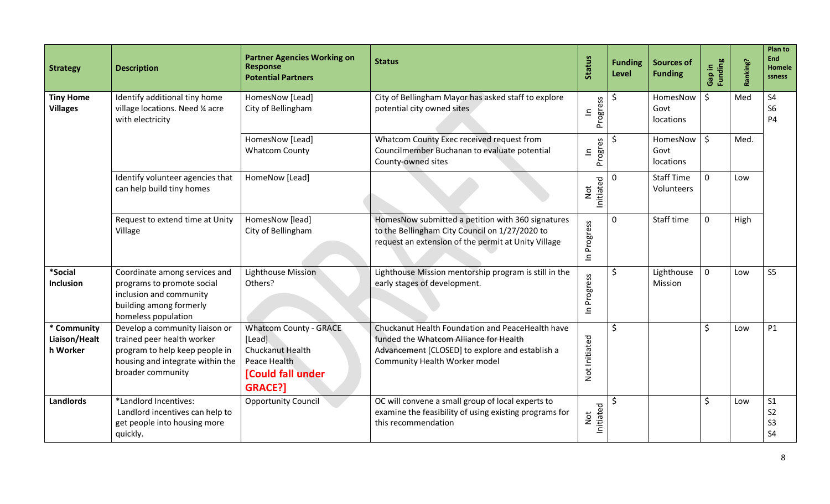| <b>Strategy</b>                          | <b>Description</b>                                                                                                                                      | <b>Partner Agencies Working on</b><br><b>Response</b><br><b>Potential Partners</b>                                        | <b>Status</b>                                                                                                                                                                  | <b>Status</b>                            | <b>Funding</b><br>Level | <b>Sources of</b><br><b>Funding</b> | Funding<br>Gap in | Ranking? | <b>Plan to</b><br><b>End</b><br>Homele<br>ssness                     |
|------------------------------------------|---------------------------------------------------------------------------------------------------------------------------------------------------------|---------------------------------------------------------------------------------------------------------------------------|--------------------------------------------------------------------------------------------------------------------------------------------------------------------------------|------------------------------------------|-------------------------|-------------------------------------|-------------------|----------|----------------------------------------------------------------------|
| <b>Tiny Home</b><br><b>Villages</b>      | Identify additional tiny home<br>village locations. Need 1/4 acre<br>with electricity                                                                   | HomesNow [Lead]<br>City of Bellingham                                                                                     | City of Bellingham Mayor has asked staff to explore<br>potential city owned sites                                                                                              | ess<br>$\mathbf{\underline{c}}$<br>Progr | Ŝ.                      | HomesNow<br>Govt<br>locations       | \$                | Med      | <b>S4</b><br>S <sub>6</sub><br><b>P4</b>                             |
|                                          |                                                                                                                                                         | HomesNow [Lead]<br><b>Whatcom County</b>                                                                                  | Whatcom County Exec received request from<br>Councilmember Buchanan to evaluate potential<br>County-owned sites                                                                | Progres<br>$\equiv$                      | .S                      | HomesNow<br>Govt<br>locations       | $\zeta$           | Med.     |                                                                      |
|                                          | Identify volunteer agencies that<br>can help build tiny homes                                                                                           | HomeNow [Lead]                                                                                                            |                                                                                                                                                                                | Initiated<br><b>Not</b>                  | $\mathbf 0$             | <b>Staff Time</b><br>Volunteers     | $\mathbf{0}$      | Low      |                                                                      |
|                                          | Request to extend time at Unity<br>Village                                                                                                              | HomesNow [lead]<br>City of Bellingham                                                                                     | HomesNow submitted a petition with 360 signatures<br>to the Bellingham City Council on 1/27/2020 to<br>request an extension of the permit at Unity Village                     | In Progress                              | $\mathbf 0$             | Staff time                          | $\mathbf 0$       | High     |                                                                      |
| *Social<br><b>Inclusion</b>              | Coordinate among services and<br>programs to promote social<br>inclusion and community<br>building among formerly<br>homeless population                | <b>Lighthouse Mission</b><br>Others?                                                                                      | Lighthouse Mission mentorship program is still in the<br>early stages of development.                                                                                          | In Progress                              | \$                      | Lighthouse<br>Mission               | $\mathbf 0$       | Low      | S <sub>5</sub>                                                       |
| * Community<br>Liaison/Healt<br>h Worker | Develop a community liaison or<br>trained peer health worker<br>program to help keep people in<br>housing and integrate within the<br>broader community | <b>Whatcom County - GRACE</b><br>[Lead]<br><b>Chuckanut Health</b><br>Peace Health<br>[Could fall under<br><b>GRACE?]</b> | Chuckanut Health Foundation and PeaceHealth have<br>funded the Whatcom Alliance for Health<br>Advancement [CLOSED] to explore and establish a<br>Community Health Worker model | Not Initiated                            | $\zeta$                 |                                     | \$                | Low      | <b>P1</b>                                                            |
| <b>Landlords</b>                         | *Landlord Incentives:<br>Landlord incentives can help to<br>get people into housing more<br>quickly.                                                    | <b>Opportunity Council</b>                                                                                                | OC will convene a small group of local experts to<br>examine the feasibility of using existing programs for<br>this recommendation                                             | Initiated<br>Not                         |                         |                                     | \$                | Low      | S <sub>1</sub><br>S <sub>2</sub><br>S <sub>3</sub><br>S <sub>4</sub> |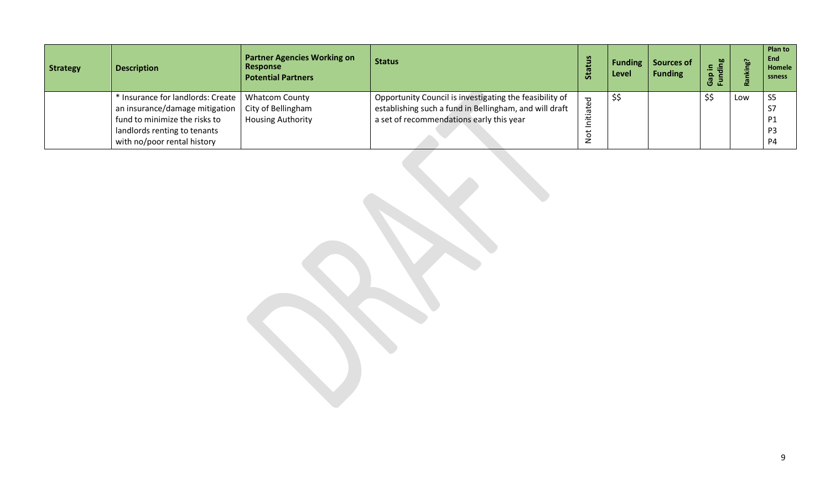| <b>Strategy</b> | <b>Description</b>                                                                                                                                                  | <b>Partner Agencies Working on</b><br><b>Response</b><br><b>Potential Partners</b> | <b>Status</b>                                                                                                                                                 | <b>Status</b>       | <b>Funding</b><br>Level | Sources of<br><b>Funding</b> | 60<br>$\blacksquare$<br>$\Omega$<br>ロ正 | Go. | Plan to<br>End<br>Homele<br>ssness                                         |
|-----------------|---------------------------------------------------------------------------------------------------------------------------------------------------------------------|------------------------------------------------------------------------------------|---------------------------------------------------------------------------------------------------------------------------------------------------------------|---------------------|-------------------------|------------------------------|----------------------------------------|-----|----------------------------------------------------------------------------|
|                 | * Insurance for landlords: Create<br>an insurance/damage mitigation<br>fund to minimize the risks to<br>landlords renting to tenants<br>with no/poor rental history | <b>Whatcom County</b><br>City of Bellingham<br><b>Housing Authority</b>            | Opportunity Council is investigating the feasibility of<br>establishing such a fund in Bellingham, and will draft<br>a set of recommendations early this year | ated<br>ى<br>C<br>z | \$\$                    |                              | \$\$                                   | Low | S <sub>5</sub><br>S7<br>P <sub>1</sub><br>P <sub>3</sub><br>P <sub>4</sub> |